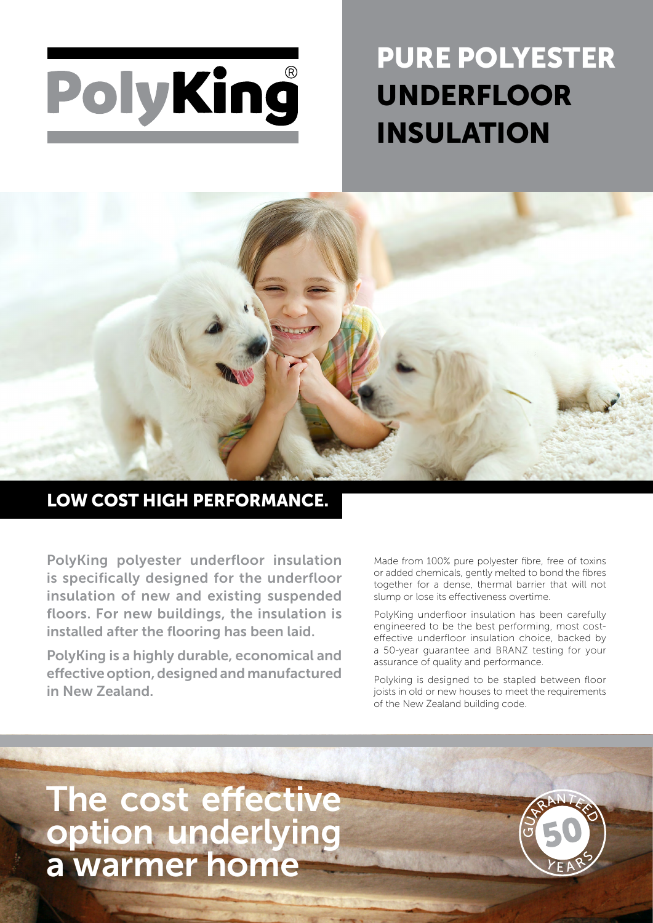

# PURE POLYESTER UNDERFLOOR INSULATION



### LOW COST HIGH PERFORMANCE.

PolyKing polyester underfloor insulation is specifically designed for the underfloor insulation of new and existing suspended floors. For new buildings, the insulation is installed after the flooring has been laid.

PolyKing is a highly durable, economical and effective option, designed and manufactured in New Zealand.

Made from 100% pure polyester fibre, free of toxins or added chemicals, gently melted to bond the fibres together for a dense, thermal barrier that will not slump or lose its effectiveness overtime.

PolyKing underfloor insulation has been carefully engineered to be the best performing, most costeffective underfloor insulation choice, backed by a 50-year guarantee and BRANZ testing for your assurance of quality and performance.

Polyking is designed to be stapled between floor joists in old or new houses to meet the requirements of the New Zealand building code.

## The cost effective option underlying a warmer home